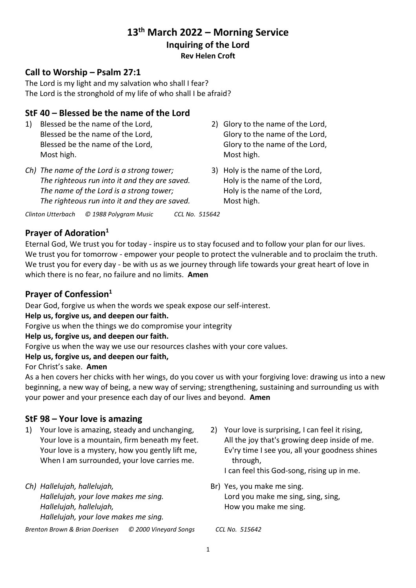# **13th March 2022 – Morning Service Inquiring of the Lord Rev Helen Croft**

### **Call to Worship – Psalm 27:1**

The Lord is my light and my salvation who shall I fear? The Lord is the stronghold of my life of who shall I be afraid?

### **StF 40 – Blessed be the name of the Lord**

1) Blessed be the name of the Lord, Blessed be the name of the Lord, Blessed be the name of the Lord, Most high.

*Ch) The name of the Lord is a strong tower; The righteous run into it and they are saved. The name of the Lord is a strong tower; The righteous run into it and they are saved.*

- 2) Glory to the name of the Lord, Glory to the name of the Lord, Glory to the name of the Lord, Most high.
- 3) Holy is the name of the Lord, Holy is the name of the Lord, Holy is the name of the Lord, Most high.

*Clinton Utterbach © 1988 Polygram Music CCL No. 515642*

### **Prayer of Adoration<sup>1</sup>**

Eternal God, We trust you for today - inspire us to stay focused and to follow your plan for our lives. We trust you for tomorrow - empower your people to protect the vulnerable and to proclaim the truth. We trust you for every day - be with us as we journey through life towards your great heart of love in which there is no fear, no failure and no limits. **Amen**

#### **Prayer of Confession<sup>1</sup>**

Dear God, forgive us when the words we speak expose our self-interest.

#### **Help us, forgive us, and deepen our faith.**

Forgive us when the things we do compromise your integrity

#### **Help us, forgive us, and deepen our faith.**

Forgive us when the way we use our resources clashes with your core values.

#### **Help us, forgive us, and deepen our faith,**

#### For Christ's sake. **Amen**

As a hen covers her chicks with her wings, do you cover us with your forgiving love: drawing us into a new beginning, a new way of being, a new way of serving; strengthening, sustaining and surrounding us with your power and your presence each day of our lives and beyond. **Amen**

#### **StF 98 – Your love is amazing**

- 1) Your love is amazing, steady and unchanging, Your love is a mountain, firm beneath my feet. Your love is a mystery, how you gently lift me, When I am surrounded, your love carries me.
- *Ch) Hallelujah, hallelujah, Hallelujah, your love makes me sing. Hallelujah, hallelujah, Hallelujah, your love makes me sing.*

*Brenton Brown & Brian Doerksen © 2000 Vineyard Songs CCL No. 515642*

- 2) Your love is surprising, I can feel it rising, All the joy that's growing deep inside of me. Ev'ry time I see you, all your goodness shines through, I can feel this God-song, rising up in me.
- Br) Yes, you make me sing. Lord you make me sing, sing, sing, How you make me sing.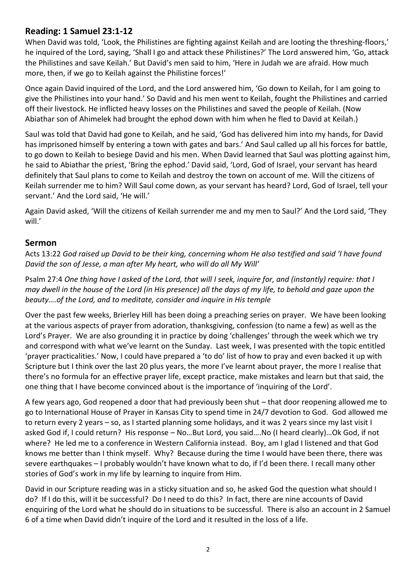### **Reading: 1 Samuel 23:1-12**

When David was told, 'Look, the Philistines are fighting against Keilah and are looting the threshing-floors,' he inquired of the Lord, saying, 'Shall I go and attack these Philistines?' The Lord answered him, 'Go, attack the Philistines and save Keilah.' But David's men said to him, 'Here in Judah we are afraid. How much more, then, if we go to Keilah against the Philistine forces!'

Once again David inquired of the Lord, and the Lord answered him, 'Go down to Keilah, for I am going to give the Philistines into your hand.' So David and his men went to Keilah, fought the Philistines and carried off their livestock. He inflicted heavy losses on the Philistines and saved the people of Keilah. (Now Abiathar son of Ahimelek had brought the ephod down with him when he fled to David at Keilah.)

Saul was told that David had gone to Keilah, and he said, 'God has delivered him into my hands, for David has imprisoned himself by entering a town with gates and bars.' And Saul called up all his forces for battle, to go down to Keilah to besiege David and his men. When David learned that Saul was plotting against him, he said to Abiathar the priest, 'Bring the ephod.' David said, 'Lord, God of Israel, your servant has heard definitely that Saul plans to come to Keilah and destroy the town on account of me. Will the citizens of Keilah surrender me to him? Will Saul come down, as your servant has heard? Lord, God of Israel, tell your servant.' And the Lord said, 'He will.'

Again David asked, 'Will the citizens of Keilah surrender me and my men to Saul?' And the Lord said, 'They will.'

### **Sermon**

Acts 13:22 *God raised up David to be their king, concerning whom He also testified and said 'I have found David the son of Jesse, a man after My heart, who will do all My Will'*

Psalm 27:4 *One thing have I asked of the Lord, that will I seek, inquire for, and (instantly) require: that I may dwell in the house of the Lord (in His presence) all the days of my life, to behold and gaze upon the beauty….of the Lord, and to meditate, consider and inquire in His temple*

Over the past few weeks, Brierley Hill has been doing a preaching series on prayer. We have been looking at the various aspects of prayer from adoration, thanksgiving, confession (to name a few) as well as the Lord's Prayer. We are also grounding it in practice by doing 'challenges' through the week which we try and correspond with what we've learnt on the Sunday. Last week, I was presented with the topic entitled 'prayer practicalities.' Now, I could have prepared a 'to do' list of how to pray and even backed it up with Scripture but I think over the last 20 plus years, the more I've learnt about prayer, the more I realise that there's no formula for an effective prayer life, except practice, make mistakes and learn but that said, the one thing that I have become convinced about is the importance of 'inquiring of the Lord'.

A few years ago, God reopened a door that had previously been shut – that door reopening allowed me to go to International House of Prayer in Kansas City to spend time in 24/7 devotion to God. God allowed me to return every 2 years – so, as I started planning some holidays, and it was 2 years since my last visit I asked God if, I could return? His response – No…But Lord, you said….No (I heard clearly)…Ok God, if not where? He led me to a conference in Western California instead. Boy, am I glad I listened and that God knows me better than I think myself. Why? Because during the time I would have been there, there was severe earthquakes – I probably wouldn't have known what to do, if I'd been there. I recall many other stories of God's work in my life by learning to inquire from Him.

David in our Scripture reading was in a sticky situation and so, he asked God the question what should I do? If I do this, will it be successful? Do I need to do this? In fact, there are nine accounts of David enquiring of the Lord what he should do in situations to be successful. There is also an account in 2 Samuel 6 of a time when David didn't inquire of the Lord and it resulted in the loss of a life.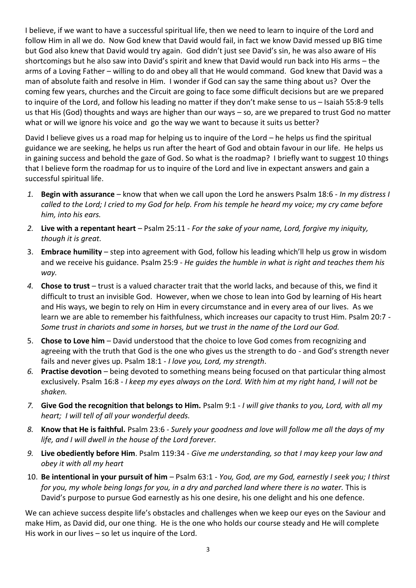I believe, if we want to have a successful spiritual life, then we need to learn to inquire of the Lord and follow Him in all we do. Now God knew that David would fail, in fact we know David messed up BIG time but God also knew that David would try again. God didn't just see David's sin, he was also aware of His shortcomings but he also saw into David's spirit and knew that David would run back into His arms – the arms of a Loving Father – willing to do and obey all that He would command. God knew that David was a man of absolute faith and resolve in Him. I wonder if God can say the same thing about us? Over the coming few years, churches and the Circuit are going to face some difficult decisions but are we prepared to inquire of the Lord, and follow his leading no matter if they don't make sense to us – Isaiah 55:8-9 tells us that His (God) thoughts and ways are higher than our ways – so, are we prepared to trust God no matter what or will we ignore his voice and go the way we want to because it suits us better?

David I believe gives us a road map for helping us to inquire of the Lord – he helps us find the spiritual guidance we are seeking, he helps us run after the heart of God and obtain favour in our life. He helps us in gaining success and behold the gaze of God. So what is the roadmap? I briefly want to suggest 10 things that I believe form the roadmap for us to inquire of the Lord and live in expectant answers and gain a successful spiritual life.

- *1.* **Begin with assurance** know that when we call upon the Lord he answers Psalm 18:6 *In my distress I called to the Lord; I cried to my God for help. From his temple he heard my voice; my cry came before him, into his ears.*
- *2.* **Live with a repentant heart** Psalm 25:11 *For the sake of your name, Lord, forgive my iniquity, though it is great.*
- 3. **Embrace humility** step into agreement with God, follow his leading which'll help us grow in wisdom and we receive his guidance. Psalm 25:9 - *He guides the humble in what is right and teaches them his way.*
- *4.* **Chose to trust** trust is a valued character trait that the world lacks, and because of this, we find it difficult to trust an invisible God. However, when we chose to lean into God by learning of His heart and His ways, we begin to rely on Him in every circumstance and in every area of our lives. As we learn we are able to remember his faithfulness, which increases our capacity to trust Him. Psalm 20:7 - *Some trust in chariots and some in horses, but we trust in the name of the Lord our God.*
- 5. **Chose to Love him** David understood that the choice to love God comes from recognizing and agreeing with the truth that God is the one who gives us the strength to do - and God's strength never fails and never gives up. Psalm 18:1 - *I love you, Lord, my strength*.
- *6.* **Practise devotion** being devoted to something means being focused on that particular thing almost exclusively. Psalm 16:8 - *I keep my eyes always on the Lord. With him at my right hand, I will not be shaken.*
- *7.* **Give God the recognition that belongs to Him.** Psalm 9:1 *I will give thanks to you, Lord, with all my heart; I will tell of all your wonderful deeds.*
- *8.* **Know that He is faithful.** Psalm 23:6 *Surely your goodness and love will follow me all the days of my life, and I will dwell in the house of the Lord forever.*
- *9.* **Live obediently before Him**. Psalm 119:34 *Give me understanding, so that I may keep your law and obey it with all my heart*
- 10. **Be intentional in your pursuit of him** Psalm 63:1 *You, God, are my God, earnestly I seek you; I thirst for you, my whole being longs for you, in a dry and parched land where there is no water.* This is David's purpose to pursue God earnestly as his one desire, his one delight and his one defence.

We can achieve success despite life's obstacles and challenges when we keep our eyes on the Saviour and make Him, as David did, our one thing. He is the one who holds our course steady and He will complete His work in our lives – so let us inquire of the Lord.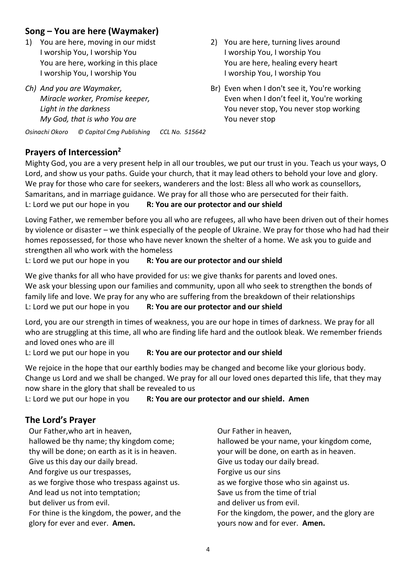# **Song – You are here (Waymaker)**

- 1) You are here, moving in our midst I worship You, I worship You You are here, working in this place I worship You, I worship You
- *Ch) And you are Waymaker, Miracle worker, Promise keeper, Light in the darkness My God, that is who You are*

*Osinachi Okoro © Capitol Cmg Publishing CCL No. 515642*

#### 2) You are here, turning lives around I worship You, I worship You You are here, healing every heart I worship You, I worship You

Br) Even when I don't see it, You're working Even when I don't feel it, You're working You never stop, You never stop working You never stop

## **Prayers of Intercession<sup>2</sup>**

Mighty God, you are a very present help in all our troubles, we put our trust in you. Teach us your ways, O Lord, and show us your paths. Guide your church, that it may lead others to behold your love and glory. We pray for those who care for seekers, wanderers and the lost: Bless all who work as counsellors, Samaritans, and in marriage guidance. We pray for all those who are persecuted for their faith. L: Lord we put our hope in you **R: You are our protector and our shield**

Loving Father, we remember before you all who are refugees, all who have been driven out of their homes by violence or disaster – we think especially of the people of Ukraine. We pray for those who had had their homes repossessed, for those who have never known the shelter of a home. We ask you to guide and strengthen all who work with the homeless

L: Lord we put our hope in you **R: You are our protector and our shield**

We give thanks for all who have provided for us: we give thanks for parents and loved ones. We ask your blessing upon our families and community, upon all who seek to strengthen the bonds of family life and love. We pray for any who are suffering from the breakdown of their relationships L: Lord we put our hope in you **R: You are our protector and our shield**

Lord, you are our strength in times of weakness, you are our hope in times of darkness. We pray for all who are struggling at this time, all who are finding life hard and the outlook bleak. We remember friends and loved ones who are ill

#### L: Lord we put our hope in you **R: You are our protector and our shield**

We rejoice in the hope that our earthly bodies may be changed and become like your glorious body. Change us Lord and we shall be changed. We pray for all our loved ones departed this life, that they may now share in the glory that shall be revealed to us

L: Lord we put our hope in you **R: You are our protector and our shield. Amen**

#### **The Lord's Prayer**

| Our Father, who art in heaven,                 | Our Father in heaven,                         |
|------------------------------------------------|-----------------------------------------------|
| hallowed be thy name; thy kingdom come;        | hallowed be your name, your kingdom come,     |
| thy will be done; on earth as it is in heaven. | your will be done, on earth as in heaven.     |
| Give us this day our daily bread.              | Give us today our daily bread.                |
| And forgive us our trespasses,                 | Forgive us our sins                           |
| as we forgive those who trespass against us.   | as we forgive those who sin against us.       |
| And lead us not into temptation;               | Save us from the time of trial                |
| but deliver us from evil.                      | and deliver us from evil.                     |
| For thine is the kingdom, the power, and the   | For the kingdom, the power, and the glory are |
| glory for ever and ever. Amen.                 | yours now and for ever. Amen.                 |
|                                                |                                               |